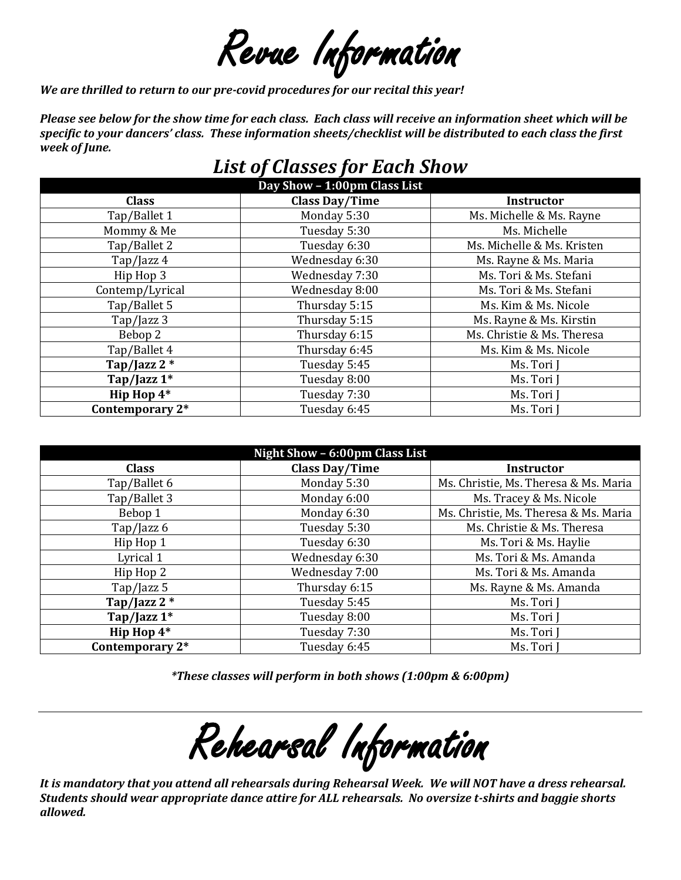Revue Information

*We are thrilled to return to our pre-covid procedures for our recital this year!*

*Please see below for the show time for each class. Each class will receive an information sheet which will be specific to your dancers' class. These information sheets/checklist will be distributed to each class the first week of June.*

# *List of Classes for Each Show*

| Day Show - 1:00pm Class List |                       |                            |  |  |  |
|------------------------------|-----------------------|----------------------------|--|--|--|
| <b>Class</b>                 | <b>Class Day/Time</b> | <b>Instructor</b>          |  |  |  |
| Tap/Ballet 1                 | Monday 5:30           | Ms. Michelle & Ms. Rayne   |  |  |  |
| Mommy & Me                   | Tuesday 5:30          | Ms. Michelle               |  |  |  |
| Tap/Ballet 2                 | Tuesday 6:30          | Ms. Michelle & Ms. Kristen |  |  |  |
| Tap/Jazz 4                   | Wednesday 6:30        | Ms. Rayne & Ms. Maria      |  |  |  |
| Hip Hop 3                    | Wednesday 7:30        | Ms. Tori & Ms. Stefani     |  |  |  |
| Contemp/Lyrical              | Wednesday 8:00        | Ms. Tori & Ms. Stefani     |  |  |  |
| Tap/Ballet 5                 | Thursday 5:15         | Ms. Kim & Ms. Nicole       |  |  |  |
| Tap/Jazz 3                   | Thursday 5:15         | Ms. Rayne & Ms. Kirstin    |  |  |  |
| Bebop 2                      | Thursday 6:15         | Ms. Christie & Ms. Theresa |  |  |  |
| Tap/Ballet 4                 | Thursday 6:45         | Ms. Kim & Ms. Nicole       |  |  |  |
| Tap/Jazz 2 *                 | Tuesday 5:45          | Ms. Tori J                 |  |  |  |
| Tap/Jazz 1*                  | Tuesday 8:00          | Ms. Tori                   |  |  |  |
| Hip Hop 4*                   | Tuesday 7:30          | Ms. Tori J                 |  |  |  |
| Contemporary 2*              | Tuesday 6:45          | Ms. Tori J                 |  |  |  |

| Night Show - 6:00pm Class List |                                                      |                                       |  |  |  |
|--------------------------------|------------------------------------------------------|---------------------------------------|--|--|--|
| <b>Class</b>                   | <b>Class Day/Time</b>                                | <b>Instructor</b>                     |  |  |  |
| Tap/Ballet 6                   | Monday 5:30<br>Ms. Christie, Ms. Theresa & Ms. Maria |                                       |  |  |  |
| Tap/Ballet 3                   | Monday 6:00                                          | Ms. Tracey & Ms. Nicole               |  |  |  |
| Bebop 1                        | Monday 6:30                                          | Ms. Christie, Ms. Theresa & Ms. Maria |  |  |  |
| Tap/Jazz $6$                   | Tuesday 5:30                                         | Ms. Christie & Ms. Theresa            |  |  |  |
| Hip Hop 1                      | Tuesday 6:30                                         | Ms. Tori & Ms. Haylie                 |  |  |  |
| Lyrical 1                      | Wednesday 6:30                                       | Ms. Tori & Ms. Amanda                 |  |  |  |
| Hip Hop 2                      | Wednesday 7:00                                       | Ms. Tori & Ms. Amanda                 |  |  |  |
| Tap/Jazz 5                     | Thursday 6:15                                        | Ms. Rayne & Ms. Amanda                |  |  |  |
| Tap/Jazz $2$ *                 | Tuesday 5:45                                         | Ms. Tori J                            |  |  |  |
| Tap/Jazz $1^*$                 | Tuesday 8:00                                         | Ms. Tori J                            |  |  |  |
| Hip Hop $4*$                   | Tuesday 7:30                                         | Ms. Tori ]                            |  |  |  |
| Contemporary 2*                | Tuesday 6:45                                         | Ms. Tori J                            |  |  |  |

*\*These classes will perform in both shows (1:00pm & 6:00pm)*

Rehearsal Information

*It is mandatory that you attend all rehearsals during Rehearsal Week. We will NOT have a dress rehearsal. Students should wear appropriate dance attire for ALL rehearsals. No oversize t-shirts and baggie shorts allowed.*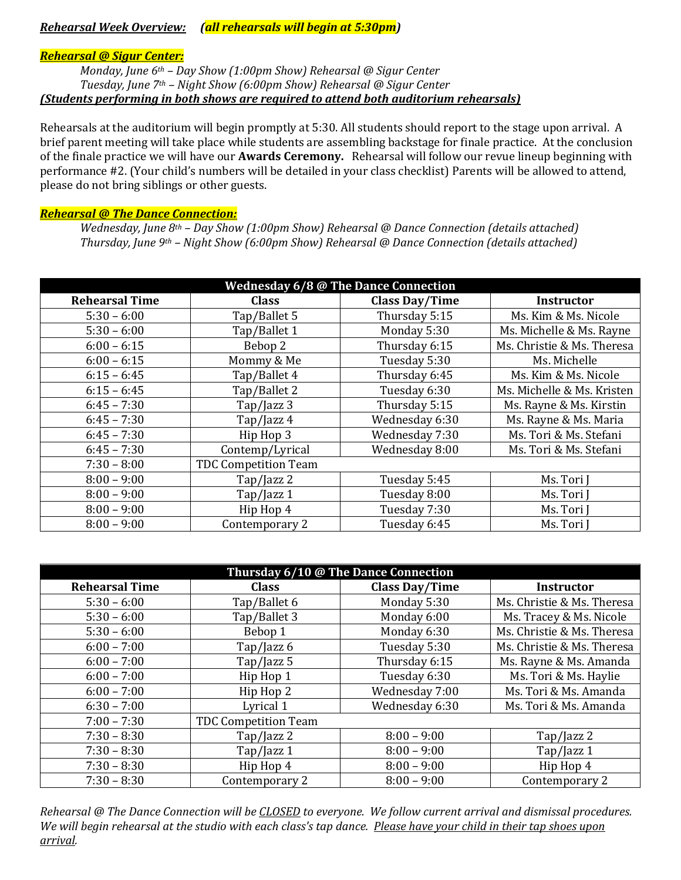# *Rehearsal Week Overview: (all rehearsals will begin at 5:30pm)*

#### *Rehearsal @ Sigur Center:*

*Monday, June 6th – Day Show (1:00pm Show) Rehearsal @ Sigur Center Tuesday, June 7th – Night Show (6:00pm Show) Rehearsal @ Sigur Center (Students performing in both shows are required to attend both auditorium rehearsals)*

Rehearsals at the auditorium will begin promptly at 5:30. All students should report to the stage upon arrival. A brief parent meeting will take place while students are assembling backstage for finale practice. At the conclusion of the finale practice we will have our **Awards Ceremony.** Rehearsal will follow our revue lineup beginning with performance #2. (Your child's numbers will be detailed in your class checklist) Parents will be allowed to attend, please do not bring siblings or other guests.

#### *Rehearsal @ The Dance Connection:*

*Wednesday, June 8th – Day Show (1:00pm Show) Rehearsal @ Dance Connection (details attached) Thursday, June 9th – Night Show (6:00pm Show) Rehearsal @ Dance Connection (details attached)*

| <b>Wednesday 6/8 @ The Dance Connection</b> |                             |                       |                            |  |  |  |
|---------------------------------------------|-----------------------------|-----------------------|----------------------------|--|--|--|
| <b>Rehearsal Time</b>                       | <b>Class</b>                | <b>Class Day/Time</b> | Instructor                 |  |  |  |
| $5:30 - 6:00$                               | Tap/Ballet 5                | Thursday 5:15         | Ms. Kim & Ms. Nicole       |  |  |  |
| $5:30 - 6:00$                               | Tap/Ballet 1                | Monday 5:30           | Ms. Michelle & Ms. Rayne   |  |  |  |
| $6:00 - 6:15$                               | Bebop 2                     | Thursday 6:15         | Ms. Christie & Ms. Theresa |  |  |  |
| $6:00 - 6:15$                               | Mommy & Me                  | Tuesday 5:30          | Ms. Michelle               |  |  |  |
| $6:15 - 6:45$                               | Tap/Ballet 4                | Thursday 6:45         | Ms. Kim & Ms. Nicole       |  |  |  |
| $6:15 - 6:45$                               | Tap/Ballet 2                | Tuesday 6:30          | Ms. Michelle & Ms. Kristen |  |  |  |
| $6:45 - 7:30$                               | Tap/Jazz 3                  | Thursday 5:15         | Ms. Rayne & Ms. Kirstin    |  |  |  |
| $6:45 - 7:30$                               | Tap/Jazz 4                  | Wednesday 6:30        | Ms. Rayne & Ms. Maria      |  |  |  |
| $6:45 - 7:30$                               | Hip Hop 3                   | Wednesday 7:30        | Ms. Tori & Ms. Stefani     |  |  |  |
| $6:45 - 7:30$                               | Contemp/Lyrical             | Wednesday 8:00        | Ms. Tori & Ms. Stefani     |  |  |  |
| $7:30 - 8:00$                               | <b>TDC Competition Team</b> |                       |                            |  |  |  |
| $8:00 - 9:00$                               | Tap/Jazz 2                  | Tuesday 5:45          | Ms. Tori J                 |  |  |  |
| $8:00 - 9:00$                               | Tap/Jazz 1                  | Tuesday 8:00          | Ms. Tori J                 |  |  |  |
| $8:00 - 9:00$                               | Hip Hop 4                   | Tuesday 7:30          | Ms. Tori J                 |  |  |  |
| $8:00 - 9:00$                               | Contemporary 2              | Tuesday 6:45          | Ms. Tori J                 |  |  |  |

| Thursday 6/10 @ The Dance Connection |                             |                       |                            |  |  |
|--------------------------------------|-----------------------------|-----------------------|----------------------------|--|--|
| <b>Rehearsal Time</b>                | <b>Class</b>                | <b>Class Day/Time</b> | <b>Instructor</b>          |  |  |
| $5:30 - 6:00$                        | Tap/Ballet 6                | Monday 5:30           | Ms. Christie & Ms. Theresa |  |  |
| $5:30 - 6:00$                        | Tap/Ballet 3                | Monday 6:00           | Ms. Tracey & Ms. Nicole    |  |  |
| $5:30 - 6:00$                        | Bebop 1                     | Monday 6:30           | Ms. Christie & Ms. Theresa |  |  |
| $6:00 - 7:00$                        | Tap/Jazz 6                  | Tuesday 5:30          | Ms. Christie & Ms. Theresa |  |  |
| $6:00 - 7:00$                        | Tap/Jazz 5                  | Thursday 6:15         | Ms. Rayne & Ms. Amanda     |  |  |
| $6:00 - 7:00$                        | Hip Hop 1                   | Tuesday 6:30          | Ms. Tori & Ms. Haylie      |  |  |
| $6:00 - 7:00$                        | Hip Hop 2                   | Wednesday 7:00        | Ms. Tori & Ms. Amanda      |  |  |
| $6:30 - 7:00$                        | Lyrical 1                   | Wednesday 6:30        | Ms. Tori & Ms. Amanda      |  |  |
| $7:00 - 7:30$                        | <b>TDC Competition Team</b> |                       |                            |  |  |
| $7:30 - 8:30$                        | Tap/Jazz 2                  | $8:00 - 9:00$         | Tap/Jazz 2                 |  |  |
| $7:30 - 8:30$                        | Tap/Jazz 1                  | $8:00 - 9:00$         | Tap/Jazz 1                 |  |  |
| $7:30 - 8:30$                        | Hip Hop 4                   | $8:00 - 9:00$         | Hip Hop 4                  |  |  |
| $7:30 - 8:30$                        | Contemporary 2              | $8:00 - 9:00$         | Contemporary 2             |  |  |

*Rehearsal @ The Dance Connection will be CLOSED to everyone. We follow current arrival and dismissal procedures. We will begin rehearsal at the studio with each class's tap dance. Please have your child in their tap shoes upon arrival.*